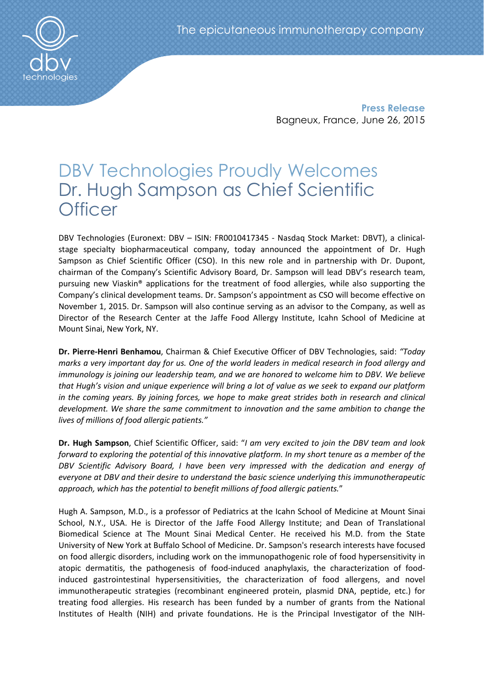Press Release Bagneux, France, June 26, 2015

# DBV Technologies Proudly Welcomes Dr. Hugh Sampson as Chief Scientific **Officer**

DBV Technologies (Euronext: DBV – ISIN: FR0010417345 - Nasdaq Stock Market: DBVT), a clinicalstage specialty biopharmaceutical company, today announced the appointment of Dr. Hugh Sampson as Chief Scientific Officer (CSO). In this new role and in partnership with Dr. Dupont, chairman of the Company's Scientific Advisory Board, Dr. Sampson will lead DBV's research team, pursuing new Viaskin® applications for the treatment of food allergies, while also supporting the Company's clinical development teams. Dr. Sampson's appointment as CSO will become effective on November 1, 2015. Dr. Sampson will also continue serving as an advisor to the Company, as well as Director of the Research Center at the Jaffe Food Allergy Institute, Icahn School of Medicine at Mount Sinai, New York, NY.

Dr. Pierre-Henri Benhamou, Chairman & Chief Executive Officer of DBV Technologies, said: *"Today marks a very important day for us. One of the world leaders in medical research in food allergy and immunology is joining our leadership team, and we are honored to welcome him to DBV. We believe that Hugh's vision and unique experience will bring a lot of value as we seek to expand our platform in the coming years. By joining forces, we hope to make great strides both in research and clinical development. We share the same commitment to innovation and the same ambition to change the lives of millions of food allergic patients."* 

Dr. Hugh Sampson, Chief Scientific Officer, said: "*I am very excited to join the DBV team and look forward to exploring the potential of this innovative platform. In my short tenure as a member of the*  DBV Scientific Advisory Board, I have been very impressed with the dedication and energy of *everyone at DBV and their desire to understand the basic science underlying this immunotherapeutic approach, which has the potential to benefit millions of food allergic patients.*"

Hugh A. Sampson, M.D., is a professor of Pediatrics at the Icahn School of Medicine at Mount Sinai School, N.Y., USA. He is Director of the Jaffe Food Allergy Institute; and Dean of Translational Biomedical Science at The Mount Sinai Medical Center. He received his M.D. from the State University of New York at Buffalo School of Medicine. Dr. Sampson's research interests have focused on food allergic disorders, including work on the immunopathogenic role of food hypersensitivity in atopic dermatitis, the pathogenesis of food-induced anaphylaxis, the characterization of foodinduced gastrointestinal hypersensitivities, the characterization of food allergens, and novel immunotherapeutic strategies (recombinant engineered protein, plasmid DNA, peptide, etc.) for treating food allergies. His research has been funded by a number of grants from the National Institutes of Health (NIH) and private foundations. He is the Principal Investigator of the NIH-